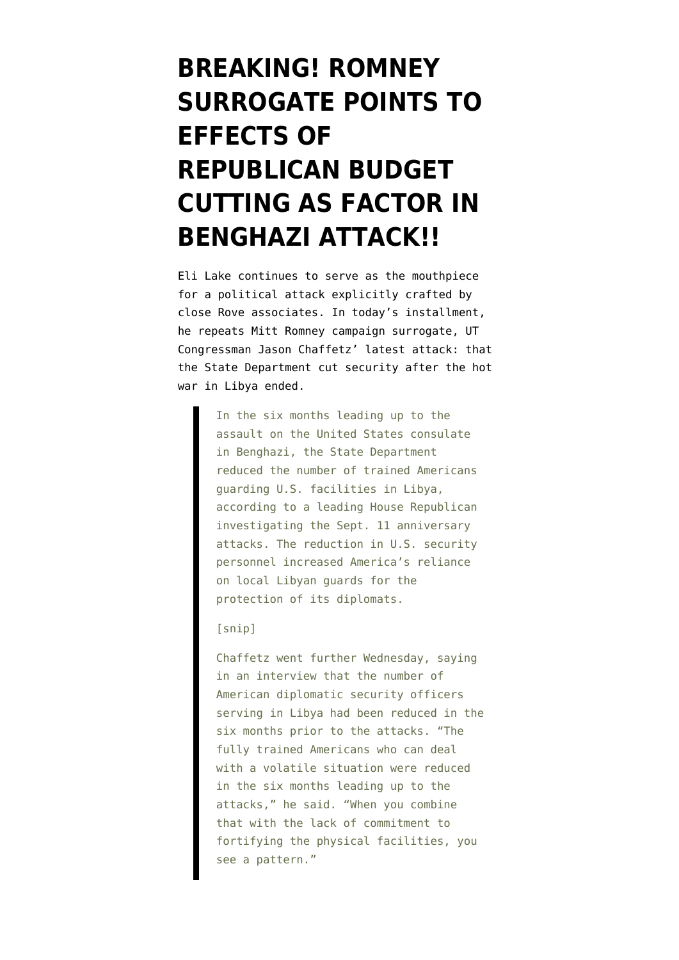## **[BREAKING! ROMNEY](https://www.emptywheel.net/2012/10/04/breaking-romney-surrogate-points-to-effects-of-republican-budget-cutting-as-factor-in-benghazi-attack/) [SURROGATE POINTS TO](https://www.emptywheel.net/2012/10/04/breaking-romney-surrogate-points-to-effects-of-republican-budget-cutting-as-factor-in-benghazi-attack/) [EFFECTS OF](https://www.emptywheel.net/2012/10/04/breaking-romney-surrogate-points-to-effects-of-republican-budget-cutting-as-factor-in-benghazi-attack/) [REPUBLICAN BUDGET](https://www.emptywheel.net/2012/10/04/breaking-romney-surrogate-points-to-effects-of-republican-budget-cutting-as-factor-in-benghazi-attack/) [CUTTING AS FACTOR IN](https://www.emptywheel.net/2012/10/04/breaking-romney-surrogate-points-to-effects-of-republican-budget-cutting-as-factor-in-benghazi-attack/) [BENGHAZI ATTACK!!](https://www.emptywheel.net/2012/10/04/breaking-romney-surrogate-points-to-effects-of-republican-budget-cutting-as-factor-in-benghazi-attack/)**

Eli [Lake continues to serve as the mouthpiece](http://www.thedailybeast.com/articles/2012/10/04/despite-threats-u-s-cut-security-in-libya-before-attacks.html) for a political attack explicitly crafted by close Rove associates. In today's installment, he repeats Mitt Romney campaign surrogate, UT Congressman Jason Chaffetz' latest attack: that the State Department cut security after the hot war in Libya ended.

> In the six months leading up to the assault on the United States consulate in Benghazi, the State Department reduced the number of trained Americans guarding U.S. facilities in Libya, according to a leading House Republican investigating the Sept. 11 anniversary attacks. The reduction in U.S. security personnel increased America's reliance on local Libyan guards for the protection of its diplomats.

## [snip]

Chaffetz went further Wednesday, saying in an interview that the number of American diplomatic security officers serving in Libya had been reduced in the six months prior to the attacks. "The fully trained Americans who can deal with a volatile situation were reduced in the six months leading up to the attacks," he said. "When you combine that with the lack of commitment to fortifying the physical facilities, you see a pattern."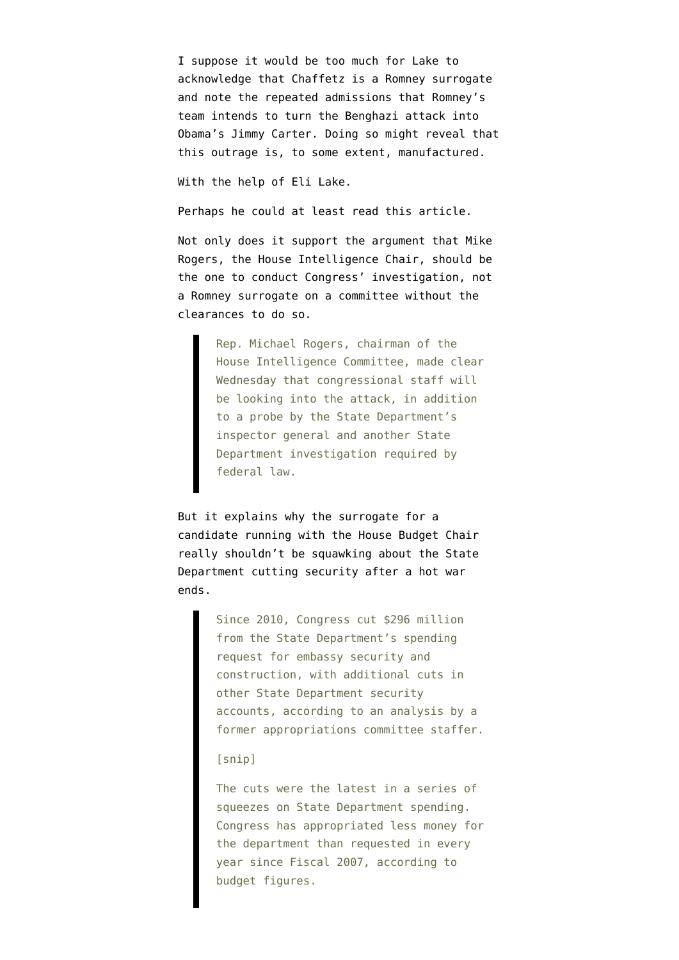I suppose it would be too much for Lake to acknowledge that Chaffetz is a Romney surrogate and note the [repeated admissions](http://www.emptywheel.net/2012/10/02/why-is-darrell-issa-doing-mike-rogers-job/) that Romney's team intends to turn the Benghazi attack into Obama's Jimmy Carter. Doing so might reveal that this outrage is, to some extent, manufactured.

With the help of Eli Lake.

Perhaps he could at least read this article.

Not only does it support the argument that Mike Rogers, the House Intelligence Chair, [should be](http://www.emptywheel.net/2012/10/02/why-is-darrell-issa-doing-mike-rogers-job/) [the one to conduct Congress' investigation](http://www.emptywheel.net/2012/10/02/why-is-darrell-issa-doing-mike-rogers-job/), not a Romney surrogate on a committee without the clearances to do so.

> Rep. Michael Rogers, chairman of the House Intelligence Committee, made clear Wednesday that congressional staff will be looking into the attack, in addition to a probe by the State Department's inspector general and another State Department investigation required by federal law.

But it explains why the surrogate for a candidate running with the House Budget Chair really shouldn't be squawking about the State Department cutting security after a hot war ends.

> Since 2010, Congress cut \$296 million from the State Department's spending request for embassy security and construction, with additional cuts in other State Department security accounts, according to an analysis by a former appropriations committee staffer.

## [snip]

The cuts were the latest in a series of squeezes on State Department spending. Congress has appropriated less money for the department than requested in every year since Fiscal 2007, according to budget figures.